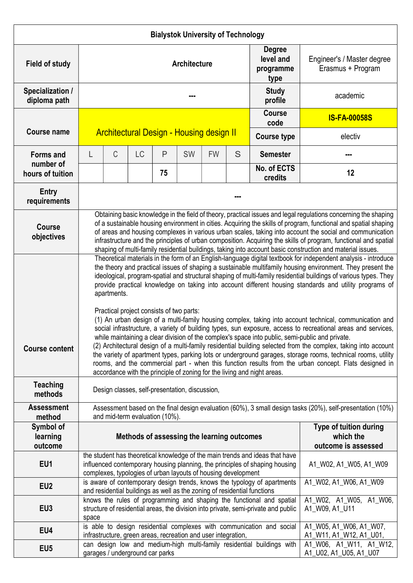| <b>Bialystok University of Technology</b> |                                                                                                                                                                                                                                                                                                                                                                                                                                                                                                                                                                                                                                                                                                                                                                                                                                                                                                                                                                                                                                                                                                                                                                                                                                                                           |                                                 |           |    |    |           |                                                                   |                                                                          |                                                 |  |  |
|-------------------------------------------|---------------------------------------------------------------------------------------------------------------------------------------------------------------------------------------------------------------------------------------------------------------------------------------------------------------------------------------------------------------------------------------------------------------------------------------------------------------------------------------------------------------------------------------------------------------------------------------------------------------------------------------------------------------------------------------------------------------------------------------------------------------------------------------------------------------------------------------------------------------------------------------------------------------------------------------------------------------------------------------------------------------------------------------------------------------------------------------------------------------------------------------------------------------------------------------------------------------------------------------------------------------------------|-------------------------------------------------|-----------|----|----|-----------|-------------------------------------------------------------------|--------------------------------------------------------------------------|-------------------------------------------------|--|--|
| <b>Field of study</b>                     | <b>Architecture</b>                                                                                                                                                                                                                                                                                                                                                                                                                                                                                                                                                                                                                                                                                                                                                                                                                                                                                                                                                                                                                                                                                                                                                                                                                                                       |                                                 |           |    |    |           |                                                                   | <b>Degree</b><br>level and<br>programme<br>type                          | Engineer's / Master degree<br>Erasmus + Program |  |  |
| Specialization /<br>diploma path          |                                                                                                                                                                                                                                                                                                                                                                                                                                                                                                                                                                                                                                                                                                                                                                                                                                                                                                                                                                                                                                                                                                                                                                                                                                                                           |                                                 |           |    |    |           |                                                                   | <b>Study</b><br>profile                                                  | academic                                        |  |  |
|                                           |                                                                                                                                                                                                                                                                                                                                                                                                                                                                                                                                                                                                                                                                                                                                                                                                                                                                                                                                                                                                                                                                                                                                                                                                                                                                           | <b>Architectural Design - Housing design II</b> |           |    |    |           |                                                                   | <b>Course</b><br>code                                                    | <b>IS-FA-00058S</b>                             |  |  |
| <b>Course name</b>                        |                                                                                                                                                                                                                                                                                                                                                                                                                                                                                                                                                                                                                                                                                                                                                                                                                                                                                                                                                                                                                                                                                                                                                                                                                                                                           |                                                 |           |    |    |           |                                                                   | <b>Course type</b>                                                       | electiv                                         |  |  |
| <b>Forms and</b><br>number of             | L                                                                                                                                                                                                                                                                                                                                                                                                                                                                                                                                                                                                                                                                                                                                                                                                                                                                                                                                                                                                                                                                                                                                                                                                                                                                         | С                                               | <b>LC</b> | P  | SW | <b>FW</b> | S                                                                 | <b>Semester</b>                                                          |                                                 |  |  |
| hours of tuition                          |                                                                                                                                                                                                                                                                                                                                                                                                                                                                                                                                                                                                                                                                                                                                                                                                                                                                                                                                                                                                                                                                                                                                                                                                                                                                           |                                                 |           | 75 |    |           |                                                                   | No. of ECTS<br>credits                                                   | 12                                              |  |  |
| <b>Entry</b><br>requirements              |                                                                                                                                                                                                                                                                                                                                                                                                                                                                                                                                                                                                                                                                                                                                                                                                                                                                                                                                                                                                                                                                                                                                                                                                                                                                           |                                                 |           |    |    |           |                                                                   |                                                                          |                                                 |  |  |
| <b>Course</b><br>objectives               | Obtaining basic knowledge in the field of theory, practical issues and legal regulations concerning the shaping<br>of a sustainable housing environment in cities. Acquiring the skills of program, functional and spatial shaping<br>of areas and housing complexes in various urban scales, taking into account the social and communication<br>infrastructure and the principles of urban composition. Acquiring the skills of program, functional and spatial<br>shaping of multi-family residential buildings, taking into account basic construction and material issues.                                                                                                                                                                                                                                                                                                                                                                                                                                                                                                                                                                                                                                                                                           |                                                 |           |    |    |           |                                                                   |                                                                          |                                                 |  |  |
| <b>Course content</b>                     | Theoretical materials in the form of an English-language digital textbook for independent analysis - introduce<br>the theory and practical issues of shaping a sustainable multifamily housing environment. They present the<br>ideological, program-spatial and structural shaping of multi-family residential buildings of various types. They<br>provide practical knowledge on taking into account different housing standards and utility programs of<br>apartments.<br>Practical project consists of two parts:<br>(1) An urban design of a multi-family housing complex, taking into account technical, communication and<br>social infrastructure, a variety of building types, sun exposure, access to recreational areas and services,<br>while maintaining a clear division of the complex's space into public, semi-public and private.<br>(2) Architectural design of a multi-family residential building selected from the complex, taking into account<br>the variety of apartment types, parking lots or underground garages, storage rooms, technical rooms, utility<br>rooms, and the commercial part - when this function results from the urban concept. Flats designed in<br>accordance with the principle of zoning for the living and night areas. |                                                 |           |    |    |           |                                                                   |                                                                          |                                                 |  |  |
| <b>Teaching</b><br>methods                | Design classes, self-presentation, discussion,                                                                                                                                                                                                                                                                                                                                                                                                                                                                                                                                                                                                                                                                                                                                                                                                                                                                                                                                                                                                                                                                                                                                                                                                                            |                                                 |           |    |    |           |                                                                   |                                                                          |                                                 |  |  |
| <b>Assessment</b><br>method               | Assessment based on the final design evaluation (60%), 3 small design tasks (20%), self-presentation (10%)<br>and mid-term evaluation (10%).                                                                                                                                                                                                                                                                                                                                                                                                                                                                                                                                                                                                                                                                                                                                                                                                                                                                                                                                                                                                                                                                                                                              |                                                 |           |    |    |           |                                                                   |                                                                          |                                                 |  |  |
| Symbol of<br>learning<br>outcome          | Methods of assessing the learning outcomes                                                                                                                                                                                                                                                                                                                                                                                                                                                                                                                                                                                                                                                                                                                                                                                                                                                                                                                                                                                                                                                                                                                                                                                                                                |                                                 |           |    |    |           | <b>Type of tuition during</b><br>which the<br>outcome is assessed |                                                                          |                                                 |  |  |
| EU1                                       | the student has theoretical knowledge of the main trends and ideas that have<br>influenced contemporary housing planning, the principles of shaping housing<br>complexes, typologies of urban layouts of housing development                                                                                                                                                                                                                                                                                                                                                                                                                                                                                                                                                                                                                                                                                                                                                                                                                                                                                                                                                                                                                                              |                                                 |           |    |    |           |                                                                   | A1_W02, A1_W05, A1_W09                                                   |                                                 |  |  |
| EU <sub>2</sub>                           |                                                                                                                                                                                                                                                                                                                                                                                                                                                                                                                                                                                                                                                                                                                                                                                                                                                                                                                                                                                                                                                                                                                                                                                                                                                                           |                                                 |           |    |    |           |                                                                   | is aware of contemporary design trends, knows the typology of apartments | A1_W02, A1_W06, A1_W09                          |  |  |
| EU <sub>3</sub>                           | and residential buildings as well as the zoning of residential functions<br>knows the rules of programming and shaping the functional and spatial<br>structure of residential areas, the division into private, semi-private and public<br>space                                                                                                                                                                                                                                                                                                                                                                                                                                                                                                                                                                                                                                                                                                                                                                                                                                                                                                                                                                                                                          |                                                 |           |    |    |           |                                                                   |                                                                          | A1_W02, A1_W05, A1_W06,<br>A1_W09, A1_U11       |  |  |
| EU4                                       | is able to design residential complexes with communication and social<br>infrastructure, green areas, recreation and user integration,                                                                                                                                                                                                                                                                                                                                                                                                                                                                                                                                                                                                                                                                                                                                                                                                                                                                                                                                                                                                                                                                                                                                    |                                                 |           |    |    |           |                                                                   | A1_W05, A1_W06, A1_W07,<br>A1_W11, A1_W12, A1_U01,                       |                                                 |  |  |
| EU <sub>5</sub>                           | can design low and medium-high multi-family residential buildings with<br>garages / underground car parks                                                                                                                                                                                                                                                                                                                                                                                                                                                                                                                                                                                                                                                                                                                                                                                                                                                                                                                                                                                                                                                                                                                                                                 |                                                 |           |    |    |           |                                                                   | A1_W06, A1_W11, A1_W12,<br>A1_U02, A1_U05, A1_U07                        |                                                 |  |  |